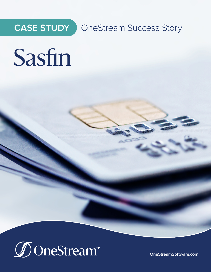

**CASE STUDY** OneStream Success Story

# Sasfin



[OneStreamSoftware.com](http://www.onestreamsoftware.com)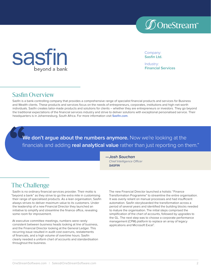



Company: **Sasfin Ltd.**

Industry: **Financial Services**

#### Sasfin Overview

Sasfin is a bank-controlling company that provides a comprehensive range of specialist financial products and services for Business and Wealth clients. These products and services focus on the needs of entrepreneurs, corporates, institutions and high-net-worth individuals. Sasfin creates tailor-made products and solutions for clients – whether they are entrepreneurs or investors. They go beyond the traditional expectations of the financial services industry and strive to deliver solutions with exceptional personalised service. Their headquarters is in Johannesburg, South Africa. For more information visit **[Sasfin.com](https://www.sasfin.com/)**.

We don't argue about the numbers anymore. Now we're looking at the financials and adding **real analytical value** rather than just reporting on them."

> **—Josh Souchan** *Chief Intelligence Officer* **SASFIN**

# The Challenge

Sasfin is no ordinary financial services provider. Their motto is "beyond a bank" as they strive to go the extra mile in customising their range of specialised products. As a lean organisation, Sasfin always strives to deliver maximum value to its customers. Under the leadership of a new Financial Director they launched an initiative to simplify and streamline the finance office, revealing some room for improvement.

At executive committee meetings, numbers were rarely consistent between business heads looking at line of business, and the Financial Director looking at the General Ledger. This recurring issue resulted in audit cost overruns, restatements of financials, and a high volume of overtime hours. Sasfin clearly needed a uniform chart of accounts and standardisation throughout the business.

The new Financial Director launched a holistic "Finance Transformation Programme" to streamline the entire organisation. It was overly reliant on manual processes and had insufficient automation. Sasfin storyboarded the transformation across a period of several years and identified the building blocks needed to mature the organisation. The initial steps comprised the simplification of the chart of accounts, followed by upgrades to the GL. The next step was to choose a corporate performance management (CPM) platform to replace an array of legacy applications and Microsoft Excel®.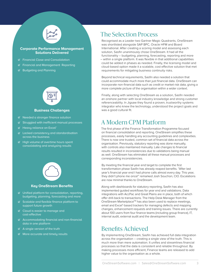

#### **Corporate Performance Management Solutions Delivered**

- Financial Close and Consolidation
- Financial and Management Reporting
- $\mathcal G$  Budgeting and Planning



#### **Business Challenges**

- Needed a stronger finance solution
- $\mathcal G$  Struggled with inefficient manual processes
- $\mathcal O$  Heavy reliance on Excel®
- $\mathcal O$  Lacked consistency and standardisation across the business
- $\mathcal O$  High volume of overtime hours spent consolidating and analysing results



#### **Key OneStream Benefits**

- $\mathcal O$  Unified platform for consolidation, reporting, budgeting, planning, forecasting and more
- $\mathcal O$  Scalable and flexible finance platform to support future growth
- $\mathcal O$  Cloud is easier to manage and cost-effective
- $\mathcal O$  Accommodating financial and non-financial data in one platform
- $\mathcal O$  A single version of the truth
- $\mathcal O$  More accurate and timely results

## The Selection Process

Recognised as a Leader two Gartner Magic Quadrants, OneStream was shortlisted alongside SAP BPC, Oracle HFM and Board International. After creating a scoring model and assessing each solution, Sasfin unanimously chose OneStream. It had all the functionality – budgeting, planning, forecasting, reporting and more – within a single platform. It was flexible in that additional capabilities could be added in phases as needed. Finally, the licensing model and cloud-based option made it a scalable, cost effective solution that met requirements for mitigating business continuity risks.

Beyond technical requirements, Sasfin also needed a solution that could accommodate much more than just financial data. OneStream can incorporate non-financial data such as credit or market risk data, giving a more complete picture of the organisation within a wider context.

Finally, along with selecting OneStream as a solution, Sasfin needed an onshore partner with local industry knowledge and strong customer referenceability. In Jigsaw they found a proven, trustworthy systems integrator who knew the technology, understood the project goals and was a good cultural fit.

#### A Modern CPM Platform

The first phase of the Finance Transformation Programme focused on financial consolidation and reporting. OneStream simplifies these processes, easily handling any accounting guidelines and complexities. There is now one trusted, common set of financial data across the organisation. Previously, statutory reporting was done manually, with controls also maintained manually. Late changes to financial results resulted in inconsistencies due to validations being manual as well. OneStream has eliminated all these manual processes and corresponding inconsistencies.

By meeting the financial year end target to complete the first transformation phase Sasfin has already reaped benefits. "After last year's financial year end I had phone calls almost every day. This year, they didn't phone me once!" remarked Josh Souchon, CIO. Escalations are now minimal thanks to OneStream.

Along with dashboards for statutory reporting, Sasfin has also implemented guided workflows for year end and validations. Data integrations with AccPac and Great Plains are in place, both of which offer drill-back to transactions. The Help Desk Manager from the OneStream Marketplace<sup>™</sup> has also been used to replace meetings, email and Excel®-based trackers for managing defects and mapping changes, enhancement requests and training issues. There are currently about 100 users from four finance teams (including group finance), IT, internal audit, external audit and the development team.

## Benefits Achieved

By implementing OneStream, Sasfin has achieved full data integration across the organisation – creating a single view of the truth. This is much more than mere automation. It unifies and streamlines financial processes so that the data is consistent and reliable throughout. By making processes more efficient, Finance teams are released to add higher value to the organisation as a whole.